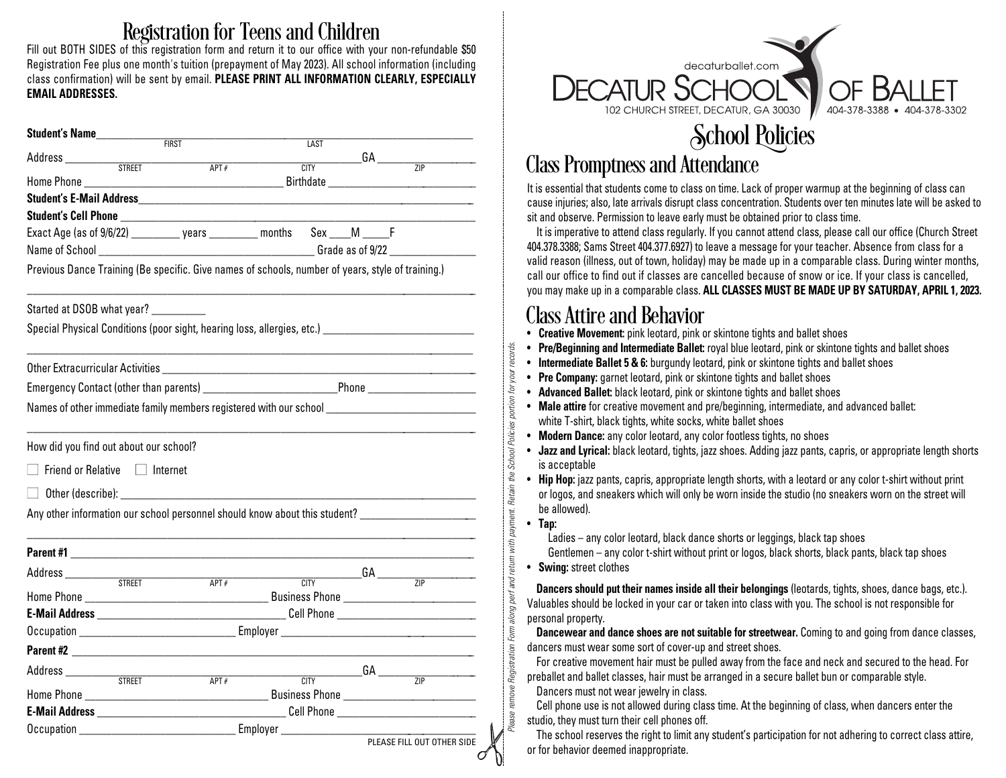#### Registration for Teens and Children

Fill out BOTH SIDES of this registration form and return it to our office with your non-refundable \$50 Registration Fee plus one month's tuition (prepayment of May 2023). All school information (including class confirmation) will be sent by email. **PLEASE PRINT ALL INFORMATION CLEARLY, ESPECIALLY EMAIL ADDRESSES.**

| Student's Name                                                                                      |  |              |                |  |                                                                                                    |  |  |
|-----------------------------------------------------------------------------------------------------|--|--------------|----------------|--|----------------------------------------------------------------------------------------------------|--|--|
|                                                                                                     |  | <b>FIRST</b> | <b>LAST</b>    |  | ______GA ________                                                                                  |  |  |
|                                                                                                     |  | APT#         | <b>CITY</b>    |  | $\overline{ZIP}$                                                                                   |  |  |
|                                                                                                     |  |              |                |  |                                                                                                    |  |  |
|                                                                                                     |  |              |                |  |                                                                                                    |  |  |
|                                                                                                     |  |              |                |  |                                                                                                    |  |  |
| Exact Age (as of 9/6/22) __________ years _________ months Sex ____M _____F                         |  |              |                |  |                                                                                                    |  |  |
|                                                                                                     |  |              |                |  |                                                                                                    |  |  |
| Previous Dance Training (Be specific. Give names of schools, number of years, style of training.)   |  |              |                |  |                                                                                                    |  |  |
| Started at DSOB what year? __________                                                               |  |              |                |  |                                                                                                    |  |  |
| Special Physical Conditions (poor sight, hearing loss, allergies, etc.) ___________________________ |  |              |                |  |                                                                                                    |  |  |
|                                                                                                     |  |              |                |  |                                                                                                    |  |  |
|                                                                                                     |  |              |                |  |                                                                                                    |  |  |
| Names of other immediate family members registered with our school ________________________________ |  |              |                |  |                                                                                                    |  |  |
|                                                                                                     |  |              |                |  |                                                                                                    |  |  |
| How did you find out about our school?                                                              |  |              |                |  |                                                                                                    |  |  |
| $\Box$ Friend or Relative $\Box$ Internet                                                           |  |              |                |  |                                                                                                    |  |  |
|                                                                                                     |  |              |                |  |                                                                                                    |  |  |
|                                                                                                     |  |              |                |  | Any other information our school personnel should know about this student? _______________________ |  |  |
|                                                                                                     |  |              |                |  |                                                                                                    |  |  |
|                                                                                                     |  |              |                |  |                                                                                                    |  |  |
|                                                                                                     |  | APT#         | $\overline{C}$ |  | $G A$ $ZIP$                                                                                        |  |  |
|                                                                                                     |  |              |                |  |                                                                                                    |  |  |
|                                                                                                     |  |              |                |  |                                                                                                    |  |  |
|                                                                                                     |  |              |                |  |                                                                                                    |  |  |
|                                                                                                     |  |              |                |  |                                                                                                    |  |  |
|                                                                                                     |  |              |                |  | $\overbrace{\text{CITY}}$ GA $\overbrace{\text{ZIP}}$                                              |  |  |
|                                                                                                     |  |              |                |  |                                                                                                    |  |  |
|                                                                                                     |  |              |                |  |                                                                                                    |  |  |
|                                                                                                     |  |              |                |  |                                                                                                    |  |  |
|                                                                                                     |  |              |                |  | PLEASE FILL OUT OTHER SIDE                                                                         |  |  |
|                                                                                                     |  |              |                |  |                                                                                                    |  |  |



## Class Promptness and Attendance

It is essential that students come to class on time. Lack of proper warmup at the beginning of class can cause injuries; also, late arrivals disrupt class concentration. Students over ten minutes late will be asked to sit and observe. Permission to leave early must be obtained prior to class time.

It is imperative to attend class regularly. If you cannot attend class, please call our office (Church Street 404.378.3388; Sams Street 404.377.6927) to leave a message for your teacher. Absence from class for a valid reason (illness, out of town, holiday) may be made up in a comparable class. During winter months, call our office to find out if classes are cancelled because of snow or ice. If your class is cancelled, you may make up in a comparable class. **ALL CLASSES MUST BE MADE UP BY SATURDAY, APRIL 1, 2023.**

- **Class Attire and Behavior**<br>• **Creative Movement:** pink leotard, pink or skintone tights and ballet shoes
- **Pre/Beginning and Intermediate Ballet:** royal blue leotard, pink or skintone tights and ballet shoes
- **Intermediate Ballet 5 & 6:** burgundy leotard, pink or skintone tights and ballet shoes
- **Pre Company:** garnet leotard, pink or skintone tights and ballet shoes
- **Advanced Ballet:** black leotard, pink or skintone tights and ballet shoes
- **Male attire** for creative movement and pre/beginning, intermediate, and advanced ballet: white T-shirt, black tights, white socks, white ballet shoes
- **Modern Dance:** any color leotard, any color footless tights, no shoes
- **Jazz and Lyrical:** black leotard, tights, jazz shoes. Adding jazz pants, capris, or appropriate length shorts is acceptable
- **Hip Hop:** jazz pants, capris, appropriate length shorts, with a leotard or any color t-shirt without print or logos, and sneakers which will only be worn inside the studio (no sneakers worn on the street will be allowed).

#### • **Tap:**

Please remove Registration Form along perf and return with payment. Retain the School Policies portion for your records.

Registration

Form along perf and return with payment. Retain the School Policies portion

rds. eco уoл ŗд

Ladies – any color leotard, black dance shorts or leggings, black tap shoes

Gentlemen – any color t-shirt without print or logos, black shorts, black pants, black tap shoes

• **Swing:** street clothes

**Dancers should put their names inside all their belongings** (leotards, tights, shoes, dance bags, etc.). Valuables should be locked in your car or taken into class with you. The school is not responsible for personal property.

**Dancewear and dance shoes are not suitable for streetwear.** Coming to and going from dance classes, dancers must wear some sort of cover-up and street shoes.

For creative movement hair must be pulled away from the face and neck and secured to the head. For preballet and ballet classes, hair must be arranged in a secure ballet bun or comparable style.

Dancers must not wear jewelry in class.

Cell phone use is not allowed during class time. At the beginning of class, when dancers enter the studio, they must turn their cell phones off.

The school reserves the right to limit any student's participation for not adhering to correct class attire, or for behavior deemed inappropriate.